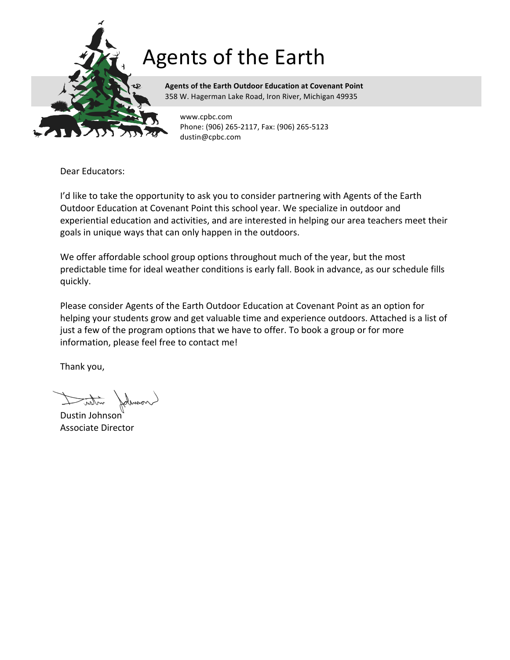

**Agents of the Earth Outdoor Education at Covenant Point** 358 W. Hagerman Lake Road, Iron River, Michigan 49935

www.cpbc.com Phone: (906) 265-2117, Fax: (906) 265-5123 dustin@cpbc.com

Dear Educators:

I'd like to take the opportunity to ask you to consider partnering with Agents of the Earth Outdoor Education at Covenant Point this school year. We specialize in outdoor and experiential education and activities, and are interested in helping our area teachers meet their goals in unique ways that can only happen in the outdoors.

We offer affordable school group options throughout much of the year, but the most predictable time for ideal weather conditions is early fall. Book in advance, as our schedule fills quickly.

Please consider Agents of the Earth Outdoor Education at Covenant Point as an option for helping your students grow and get valuable time and experience outdoors. Attached is a list of just a few of the program options that we have to offer. To book a group or for more information, please feel free to contact me!

Thank you,

inten -

Dustin Johnson Associate Director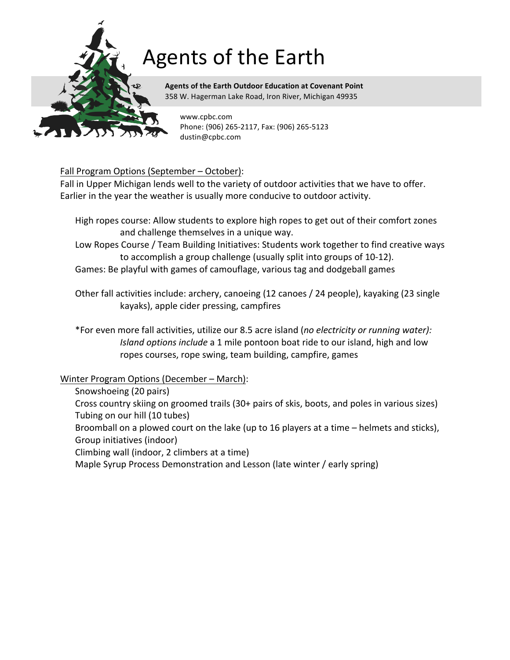

**Agents of the Earth Outdoor Education at Covenant Point** 358 W. Hagerman Lake Road, Iron River, Michigan 49935

www.cpbc.com Phone: (906) 265-2117, Fax: (906) 265-5123 dustin@cpbc.com

### Fall Program Options (September - October):

Fall in Upper Michigan lends well to the variety of outdoor activities that we have to offer. Earlier in the year the weather is usually more conducive to outdoor activity.

- High ropes course: Allow students to explore high ropes to get out of their comfort zones and challenge themselves in a unique way.
- Low Ropes Course / Team Building Initiatives: Students work together to find creative ways to accomplish a group challenge (usually split into groups of 10-12).
- Games: Be playful with games of camouflage, various tag and dodgeball games

Other fall activities include: archery, canoeing (12 canoes / 24 people), kayaking (23 single kayaks), apple cider pressing, campfires

\*For even more fall activities, utilize our 8.5 acre island (no electricity or running water): *Island options include* a 1 mile pontoon boat ride to our island, high and low ropes courses, rope swing, team building, campfire, games

### Winter Program Options (December – March):

- Snowshoeing (20 pairs)
- Cross country skiing on groomed trails (30+ pairs of skis, boots, and poles in various sizes) Tubing on our hill (10 tubes)
- Broomball on a plowed court on the lake (up to 16 players at a time  $-$  helmets and sticks), Group initiatives (indoor)
- Climbing wall (indoor, 2 climbers at a time)
- Maple Syrup Process Demonstration and Lesson (late winter / early spring)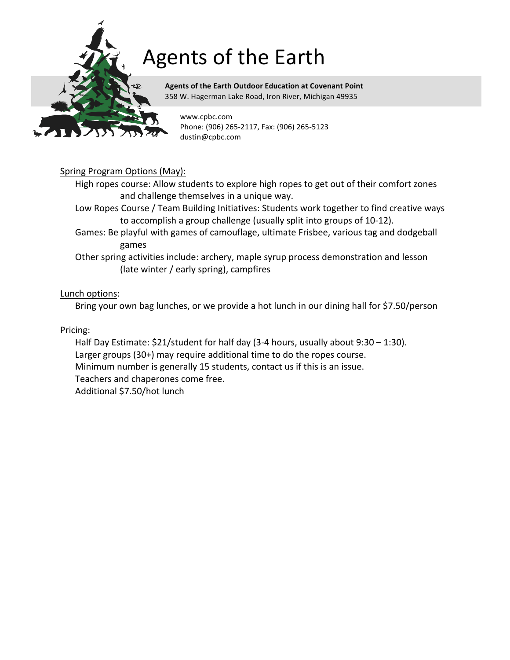

**Agents of the Earth Outdoor Education at Covenant Point** 358 W. Hagerman Lake Road, Iron River, Michigan 49935

www.cpbc.com Phone: (906) 265-2117, Fax: (906) 265-5123 dustin@cpbc.com

### Spring Program Options (May):

High ropes course: Allow students to explore high ropes to get out of their comfort zones and challenge themselves in a unique way.

- Low Ropes Course / Team Building Initiatives: Students work together to find creative ways to accomplish a group challenge (usually split into groups of 10-12).
- Games: Be playful with games of camouflage, ultimate Frisbee, various tag and dodgeball games
- Other spring activities include: archery, maple syrup process demonstration and lesson (late winter / early spring), campfires

#### Lunch options:

Bring your own bag lunches, or we provide a hot lunch in our dining hall for \$7.50/person

Pricing:

Half Day Estimate:  $$21/student$  for half day (3-4 hours, usually about  $9:30 - 1:30$ ). Larger groups  $(30+)$  may require additional time to do the ropes course. Minimum number is generally 15 students, contact us if this is an issue. Teachers and chaperones come free. Additional \$7.50/hot lunch